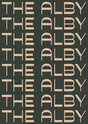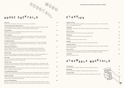## A MUST HAVE: SLOE BERRY GIN, APRICOT LIQUEUR AND FRESH LIME WHEEL.

| ANOTHER ALL-TIME FAVORITE. AMARETTO, LIME, SUGAR AND EGG WHITE - AND AS A CHERRY<br>ON TOP: A MARASCHINO CHERRY.                                                                     |    |
|--------------------------------------------------------------------------------------------------------------------------------------------------------------------------------------|----|
| <b>CAPRIOSKA</b><br>A MUST HAVE: SLOE BERRY GIN, APRICOT LIQUEUR AND FRESH LIME JUICE WITH A DEHYDRATED<br>LIME WHEEL.                                                               | 18 |
| <b>DARK &amp; STORMY</b><br>A SPICED RUM CLASSIC TOPED WITH LIME AND GINGER BEER.                                                                                                    | 19 |
| <b>MARGARITA</b><br>A REPOSADO TEQUILA CLASSIC WITH LIME AND SALT RIM.                                                                                                               | 18 |
| <b>OTILOM</b><br>A CLASSIC WITH WHITE RUM, MINT AND LIME.                                                                                                                            | 18 |
| <b>NEGRONI</b><br>A CLASSIC STIRRED WITH GIN, SELECT BITTER AND VERMOUTH ROUGE.                                                                                                      | 19 |
| <b>ESPRESSO MARTINI</b><br>YOUR COFFEE CLASSICS FAVORITE, COLD DRIP ESPRESSO, COFFEE LIQUOR, VODKA GARNISHED<br>WITH COFFEE BEANS.                                                   | 19 |
| <b>SELECT SPRITZ</b><br>THE GO TO ON A HOT DAY: SELECT APERITIF, TOPPED WITH PROSECCO AND SPARKLING WATER.<br>A SPRING OF MINT AND ORANGE SLICE WHEEL MAKE IT THE PERFECT REFRESHER. | 18 |
|                                                                                                                                                                                      |    |

## **ESPRESSO MARTINI**

## **SELECT SPRITZ**

| <b>OUR ALIBI</b><br>PLEASE ASK OUR FRIENDLY STAFF FOR THE COCKTAIL OF THE MONTH!                                                                                                                                                                                                 | 16              |
|----------------------------------------------------------------------------------------------------------------------------------------------------------------------------------------------------------------------------------------------------------------------------------|-----------------|
| <b>FOUR PILLARS BLOODY SHIRAZ SPRITZ</b><br>A REFRESHING SPRITZ WITH JUNIPER, PLUM AND SHIRAZ CHARACTER. MADE WITH FOUR PILLARS<br>BLOODY SHIRAZ GIN, REGAL ROGUE WILD ROSE VERMOUTH AND SOUR PLUM                                                                               | 17              |
| <b>ALBY BRAMBLE</b><br>SUMMER IN A GLASS: A REFRESHING SHAKEN COCKTAIL WITH GIN AND LIME TOPPED<br>WITH PLUM PURE OVER CRUSHED ICE.                                                                                                                                              | 18              |
| <b>GREAT PASSION</b><br>A PASSIONFRUIT ROMANCE: VODKA, SHAKEN WITH PASSIONFRUIT LIQUOR AND PASSION PULP.<br>FINISHED WITH A TROP FLAMED PASSIONFRUIT HALF FOR GARNISH - IT IS THE EYE CATCHER<br>FOR A SWEET AND TROPICAL COCKTAIL.                                              | 22              |
| <b>NO NAMED MEXICAN</b><br>YOU CAN'T GO WRONG WITH COCONUT AND TEQUILA. SERVED WITH A SALT RIM, THIS SHAKEN<br>COCKTAIL IS THE PREFECT MIX OF COCONUT RUM, AGAVE AND TEQUILA - PERFECT FOR THOSE<br>SPICY HOT SUMMER DAYS.                                                       | 20              |
| PASSIONFRUIT MARGARITA<br>SPICE & PASSION FRUIT - THIS COCKTAIL BEAUTIFULLY COMBINES THE TWO PARADOXES:<br>BETANGA TEQUILA, CHINOLA PASSION FRUIT, SHAKEN WITH PASSIONFRUIT PULP AND LIME<br>COMPLETED WITH A CHILLI SALT RIM, THIS LITTLE COUPE IS DEVILISHLY SPICY AND FRUITY. | 19              |
| <b>PEACHY KEEN</b><br>HAVE YOU EVER THOUGHT OF COMBINING BOURBON WITH PEACH? - THIS OLD FASHIONED STYLE<br>COCKTAIL SCREAMS SUMMER BY LEAVING A MILD PEACH FLAVOR ON YOU PALATE.                                                                                                 | 22 <sub>2</sub> |
| <b>RED FEVER</b><br>TALL POUR OF FOUR PILLARS SHIRAZ GIN, SUGAR, FRESH LIME & MINT, MUDDLED WITH BLOOD<br>ORANGE AND TOPPED WITH CAPI TONIC WATER.                                                                                                                               | 21              |
| <b>SERENITY NOW</b><br>LEAN BACK, RELAX AND ENJOY A SHAKEN ELDERFLOWER AND GIN COCKTAIL. A DEHYDRATED LIME<br>AS GARNISH LEAVES THE COCKTAIL VISUALLY SIMPLE BUT EVEN MORE SO EXCITING IN ITS FLAVOR.                                                                            | 17              |
| <b>SPICED APPLE MOJITO</b><br>MUDDLED LIMES, ROASTED APPLES & SPICED SYRUP, BUILT WITH MINT, APPLE LIQUOR AND SPICED<br>RUM - THIS MOJITO IS LIKE NO OTHER.                                                                                                                      | 22              |
| THE UNDERGROUND SPRITZ<br>TROPICAL LOVE: GRAPEFRUIT JUICE WITH RHUBI LIQUEUR AND UNDERGROUND VODKA, TOPPED WITH<br>ICE AND SODA WATER. THIS WINE GLASS WILL MAKE YOU FALL IN LOVE WITH RUBY RED GRAPEFRUIT.                                                                      | 17              |
| <b>TOMMY'S NEGRONI</b><br>POOR TOM'S GIN WITH AN AUSTRALIAN NATIVE VERMOUTH AND SELECT APERITIF. A CLASSIC WITH<br>A TWIST FOR ANY WEATHER AND OCCASION.                                                                                                                         | 20              |
| <b>WITH LOVE FROM MEXICO</b>                                                                                                                                                                                                                                                     | 20              |

## SOUTHSIDE 1 8

A MINTY CLASSIC WITH GIN.

# A L B E M A R L E M O C K T A I L S

MINUS MINQ $\qquad \qquad \qquad \qquad$ 

ALL-BAR-NON 22 CARAMELIZED PEAR, KOMBU, GINGER, BLACK TEA, AGAVE AND VANILLA. SALTED RASPBERRY, CHAMOMILE, ORGANIC CANE SUGAR AND VERJUS. SUB-SUB-URBAN 12 JAPANESE YUZU, VALENCIA ORANGES, CINNAMON AND MURRAY RIVER SALTS.

IMAGINE A TALL CHILLED GLASS WITH A LIGHT SALT RIM, FILLED WITH REPOSADO TEOUILA, AGAVE, AND RUBY GRAPEFRUIT JUICE , TOPPED WITH SODA AND DEHYDRATED RUBY GRAPEFRUIT HALF WHEEL .

## $C$ <sup>L</sup>ASS<sub>ICS</sub>

## AMARETTO SOUR 2 0 AN OTHER ALL-TIME FAVORITE. AMARETTO, LIME, SUGAR AND



## PLEASE SCAN THE QR CODE ON THE TABLE TO ORDER.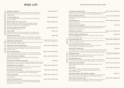## PLEASE SCAN THE QR CODE ON THE TABLE TO ORDER.

| <b>WOODBROOK CUVEE BRUT</b><br>BRIGHT AND FRESH WITH CRISP RED BERRIES AND LEMON, CHERRY, WHITE<br>STRAWBERRY AND HINTS OF FRESH HERB. PERSITE FLAVOR LENGTH AND<br>COMPLEX NOTES.                                   | <b>GLASS 9, BOTTLE 47</b>   |
|----------------------------------------------------------------------------------------------------------------------------------------------------------------------------------------------------------------------|-----------------------------|
| <b>IL FIORE PROSECCO DOC</b><br>FRUITY AND FLOWERY AROMA, HINTS OF RIPE GOLDEN APPLE AND SMALL<br>MOUNTAIN FLOWERS.                                                                                                  | <b>GLASS 10, BOTTLE 50</b>  |
| <b>BRAVE NEW WINE 'GLITTER US' PET NAT</b><br>RIESLING, VERMENTINO, SAUVIGNON BLANC AND GEWÜRZTRAMINER.<br>FUN, FRISKY FIZZER WITH NUTTY SAVOURINESS UNDER RIPE LEMON,<br>BROWN LIME, CLOUDY APPLE JUICE CHARACTERS. | <b>GLASS 14, BOTTLE 65</b>  |
| <b>BILLECART-SALMON BRUT CHAMPAGNE</b><br>FRUITY, ELEGANT AND FINE STYLE.                                                                                                                                            | <b>GLASS 24, BOTTLE 120</b> |
| <b>VEUVE CLIQUOT</b><br>VANILLA AND WHITE FRUITS AROMA AND MINERALITY. ROBUST ACIDITY,<br>SUBTLE NOTES OF WHITE PEACH. FINISH ECHOES A SUBTLE SMOKY NOTE.                                                            | <b>BOTTLE 170</b>           |
| <b>RUINART BLANC DE BLANC</b><br>CITRUS AND TROPICAL FRUITS UNDERLINED BY FRESH SPICES LIKE GINGER /<br>CARDAMOM. NOTES OF PINK PEPPERCORN, CITRON AND WHITE GRAPE FRUIT.                                            | <b>BOTTLE 230</b>           |
| <b>WOODBROOK SAUVIGNON BLANC</b><br>FRUITY, AND FLORAL. TOUCHES OF GREEN APPLE, WHITE PEACH, WITH A CRISP<br>FINISH. LIGHT PASSION FRUIT FLAVOUR.                                                                    | REG 9, TALL 15, BOTTLE 47   |
| <b>BABICH BLACK LABEL SAUVIGNON BLANC</b><br>FRESH GRASS, GUAVA, PAWPAW AND PASSIONFRUIT AROMAS LAYERED WITH<br>GRAPEFRUIT AND A SMOKY GREEN MUSK, PASSION FRUIT LAYERED PALATE<br>AND SPICY FINISH.                 | REG 11, TALL 19, BOTTLE 55  |
| PAUL CONTI CHARDONNAY<br>FRUITY AND DRY WITH A MEDIUM-LOW ACIDITY, LIFTED STONE-FRUIT AND<br>APPLE FLAVORS ARE BALANCED BY SUBTLE LEES AND HINTS OF SMOKY OAK.                                                       | REG 11, TALL 19, BOTTLED 55 |
| <b>KAESLER STONEHORSE CHARDONNAY</b><br>BUTTERY AND COMPLEX. FINE CITRUS NOTES AND A CLEAN MINERALITY<br>ENSURING AT BALANCED END.                                                                                   | REG 14, TALL 23, BOTTLE 65  |
| <b>CRAGGY RANGE KIDNAPPER'S CHARDONNAY</b><br>GREAT COMPLEXITY WITH NASHI PEAR, ROASTED ALMONDS, UNDENIABLE CITRUS<br>AND GRAPEFRUIT; TONES OF LEMON ZEST. PERSISTENT ACIDITY, EASY TO DRINK.                        | <b>BOTTLE 85</b>            |
| UNDERGROUND VIOLETS MOSCATO<br>FRUIT, FLORAL AND SWEET. MEDIUM ACIDITY AND BODY. LUSCIOUS & SWEET,<br>ROCKMELON AND STRAWBERRIES WITH A GENTLE FIZZ.                                                                 | REG 10, TALL 18, BOTTLE 50  |
| SANTI SORTESELE PINOT GRIGIO<br>FRUITY PALATE, NOTES OF STONE FRUIT, SHOWS RIPENESS AND ROUNDNESS,<br>ELEGANT ACIDITY AND SAVOURINESS LEADS TO A LINGERING FINISH.                                                   | REG13, TALL 21, BOTTLE 60   |
| <b>LUCKY CAT PINOT GRIS</b><br>CRISP AND REFRESHING, A CRUNCHY, AND SLIGHTLY SPICY, PEAR AND APPLE<br>FLAVORED TREAT.                                                                                                | REG 15, TALL, 25, BOTTLE 70 |
| <b>TYRRELL'S BELFORD SEMILLON</b><br>AROMATIC MINERAL DRIVE, FRUITY AND HERBAL AROMA. DRY SWEETNESS,<br>SOFT TANNINS, WITH A MEDIUM TO HIGH ACIDITY, FINE FLAVORS OF WHITE<br>FLOWERS, AND A TOUCH OF PEACH.         | REG 14, TALL 23, BOTTLE 65  |

THE PAWN CO. GRUNER VELTNER **EXECUTE 20** ACCESS AND REG 14, TALL 23, BOTTLE 75 GENTLE TANNIN ON FINISH. TOMFOOLERY BLURRED LINES CABERNET SAUVIGNON **EXAMPLE 19** BOTTLE 75 BRIGHT BERRY FRUITS OF RED CHERRY AND RASPBERRY WITH DELICATE PEPPER, SPICE AND CLOVE, NOTES OF BLOOD ORANGE, VIOLETS AND BLACK FRUITS. PENLEY FRANCIS CABERNET FRANC REG 13, TALL 21, BOTTLE 60 BRIGHT BERRY FRUITS OF RED CHERRY AND RASPBERRY WITH DELICATE PEPPER, SPICE AND CLOVE, NOTES OF BLOOD ORANGE, VIOLETS AND BLACK FRUITS.

|                                                           | THE PAWN CO. GRUNER VELTNER<br>FLAVORS OF PEACH, WHITE NECTARINE & SPICE COMPLIN<br>WINE WITH TIGHTLY WOVEN ACIDITY & A DRY, REFRESHIN                                             |
|-----------------------------------------------------------|------------------------------------------------------------------------------------------------------------------------------------------------------------------------------------|
|                                                           | <b>GROSSET SPRINGVALE RIESLING</b><br>LIME DRIVEN WITH MINERAL BACKGROUND, DRY, FINELY &<br>BACKGROUND.                                                                            |
|                                                           | <b>EDEN ROAD RIESLING</b><br>INTENSE TROPICAL FRUIT, LIME AND LYCHEES AROMAS W<br>FRESH AND LONG PALATE.                                                                           |
|                                                           | <b>PRESSING MATTERS R9 RIESLING</b><br>THE IDEAL SPRING AND SUMMER WINE: FRUITY & SPICY, I<br>LEMONY. PALATE IS JUST OFF-DRY AND FRUITY, MED-HIG<br>SWEETNESS SETTLING THE PALATE. |
|                                                           | <b>DELINOUENTE VERMENTINO</b>                                                                                                                                                      |
|                                                           | CITRUS HITS FROM A CLEAN, CRISP AND FLORALLY LIFTE<br><b>DOMAINE VACHERON SANCERRE BLANC</b>                                                                                       |
|                                                           | FRUITY, DRY, MEDIUM ACIDITY. AROMAS AND FLAVORS OF<br>SEA SALT AND CRISPY PEARS.                                                                                                   |
| B<br>②<br>ØD<br>m                                         | <b>NICK SPENCER WINES ROSE</b><br>AROMAS OF TANGERINE, RED BERRIES AND FRESH WATER<br>BEAUTIFULLY BALANCED AND DRY.                                                                |
|                                                           | <b>DOM. SAINTE MARIE CUVEE TRADITION ROSE</b><br>DRY WITH MEDIUM TO LOW ACIDITY. FLORAL, THE MOUTH<br>PLEASANT AND WELL BALANCED, WITH A SALTY END.                                |
|                                                           | <b>WHISTLER DRY AS BONE ROSE</b><br>FRUIT INTENSITY, FULL MIDDLE SECTION TIGHTLY BOUND<br>AND MANDARIN ACIDITY. A TOUCH OF FRUIT SWEETNESS                                         |
| <u>그리</u><br>$\boxed{m}$<br>$\ominus$<br>M<br>D<br>Z<br>m | <b>WOODBROOK SHIRAZ</b><br>BOLD AND FULL BODIED WITH MEDIUM DRYNESS AND ACI<br>AND BLACK BERRIES, CLOVES AND SOME OAK / VANILLA.                                                   |
|                                                           | DIXON CREEK PINOT NOIR<br>EARTHINESS OPENS TO NOTES OF WILD CHERRY. OUTBUR<br>PALATE, BODY FULL OF MOMENTUM AND TENSION ENDING                                                     |
|                                                           | <b>ARCHITECTS OF WINE NEBBIOLO</b><br>BRIGHT CHERRIES AND RASPBERRIES, SAVOURINESS AND<br>EARTHY NOTES.                                                                            |
|                                                           | <b>BABO CHANTI</b><br>DRY WITH LIFTED FLORALS AND SOUR CHERRY, ORANGE I<br>JUICY FRESHNESS, HINT OF DRIED HERBS COMPLEMENTS<br>GENTI F TANNIN ON FINISH.                           |

**MENT A SLIGHTLY TEXTURAL** NG MINERAL FINISH. REG 11, TALL 19, BOTTLE 55 STRUCTURED WITH MINERAL REG 14, TALL 23, BOTTLE 65 VITH A LOVELY MINERAL, **BOTTLE 80** FRESH, BRIGHT AND CLEAN, H ACIDITY, DASH OF REG 14, TALL 23, BOTTLE 65 ED BAND OF GRAPES, TROPICAL. BOTTLE 120 F LEMONS AND LIMES, REG 13, TALL 21, BOTTLE 60 A MELON. THE PALATE IS REG 14, TALL 24, BOTTLE 68 IS CLEAN, SOFT, BOTTLE 70 D WITH CRUNCHY RASPBERRY LINGERS AT THE FINISH. REG 9, TALL 15, BOTTLE 47 IDITY. BLACK CHERRY REG 13, TALL 21, BOTTLE 60 R T OF FRESHNESS ON G IN A HINT OF VANILLA. REG 17, TALL 28, BOTTLE 80 **MINERALITY AND** REG 15, TALL 25, BOTTLE 70 RIND NOTES, G A CIDITY AND

## WINE LIST